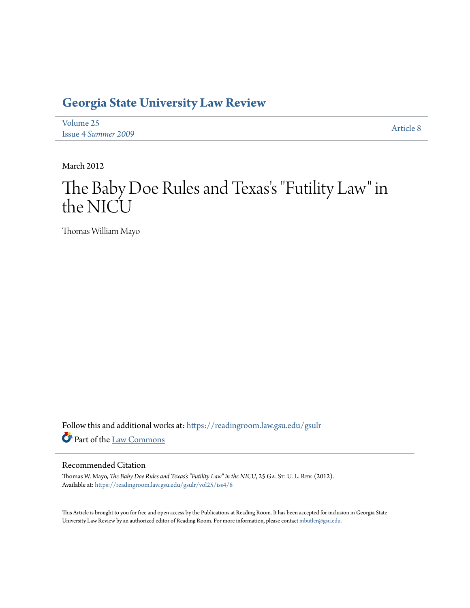# **[Georgia State University Law Review](https://readingroom.law.gsu.edu/gsulr?utm_source=readingroom.law.gsu.edu%2Fgsulr%2Fvol25%2Fiss4%2F8&utm_medium=PDF&utm_campaign=PDFCoverPages)**

[Volume 25](https://readingroom.law.gsu.edu/gsulr/vol25?utm_source=readingroom.law.gsu.edu%2Fgsulr%2Fvol25%2Fiss4%2F8&utm_medium=PDF&utm_campaign=PDFCoverPages) Issue 4 *[Summer 2009](https://readingroom.law.gsu.edu/gsulr/vol25/iss4?utm_source=readingroom.law.gsu.edu%2Fgsulr%2Fvol25%2Fiss4%2F8&utm_medium=PDF&utm_campaign=PDFCoverPages)* [Article 8](https://readingroom.law.gsu.edu/gsulr/vol25/iss4/8?utm_source=readingroom.law.gsu.edu%2Fgsulr%2Fvol25%2Fiss4%2F8&utm_medium=PDF&utm_campaign=PDFCoverPages)

March 2012

# The Baby Doe Rules and Texas 's "Futility Law" in the NICU

Thomas William Mayo

Follow this and additional works at: [https://readingroom.law.gsu.edu/gsulr](https://readingroom.law.gsu.edu/gsulr?utm_source=readingroom.law.gsu.edu%2Fgsulr%2Fvol25%2Fiss4%2F8&utm_medium=PDF&utm_campaign=PDFCoverPages) Part of the [Law Commons](http://network.bepress.com/hgg/discipline/578?utm_source=readingroom.law.gsu.edu%2Fgsulr%2Fvol25%2Fiss4%2F8&utm_medium=PDF&utm_campaign=PDFCoverPages)

#### Recommended Citation

Thomas W. Mayo, *The Baby Doe Rules and Texas's "Futility Law" in the NICU*, 25 GA. ST. U. L. REV. (2012). Available at: [https://readingroom.law.gsu.edu/gsulr/vol25/iss4/8](https://readingroom.law.gsu.edu/gsulr/vol25/iss4/8?utm_source=readingroom.law.gsu.edu%2Fgsulr%2Fvol25%2Fiss4%2F8&utm_medium=PDF&utm_campaign=PDFCoverPages)

This Article is brought to you for free and open access by the Publications at Reading Room. It has been accepted for inclusion in Georgia State University Law Review by an authorized editor of Reading Room. For more information, please contact [mbutler@gsu.edu.](mailto:mbutler@gsu.edu)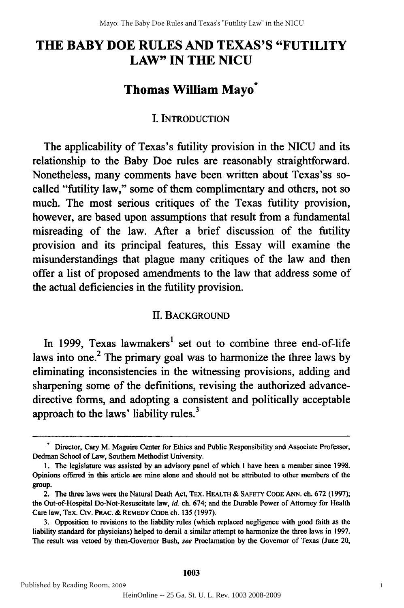# **THE BABY DOE RULES AND TEXAS'S "FUTILITY** THE BABY DOE RULES AND TEXAS'S "FUTILITY **LAW" IN THE NICU** LAW" IN THE NICU

### **Thomas William Mayo\*** Thomas William Mayo \*

#### **I. INTRODUCTION** I. INTRODUCTION

The applicability of Texas's futility provision in the **NICU** and its The applicability of Texas's futility provision in the NICU and its relationship to the Baby Doe rules are reasonably straightforward. relationship to the Baby Doe rules are reasonably straightforward. Nonetheless, many comments have been written about Texas'ss so-Nonetheless, many comments have been written about Texas'ss socalled "futility law," some of them complimentary and others, not so called "futility law," some of them complimentary and others, not so much. The most serious critiques of the Texas futility provision, much. The most serious critiques of the Texas futility provision, however, are based upon assumptions that result from a fundamental however, are based upon assumptions that result from a fundamental misreading of the law. After a brief discussion of the futility misreading of the law. After a brief discussion of the futility provision and its principal features, this Essay will examine the provision and its principal features, this Essay will examine the misunderstandings that plague many critiques of the law and then misunderstandings that plague many critiques of the law and then offer a list of proposed amendments to the law that address some of the actual deficiencies in the futility provision. the actual deficiencies in the futility provision.

#### **II.** BACKGROUND II. BACKGROUND

In 1999, Texas lawmakers<sup>1</sup> set out to combine three end-of-life laws into one.<sup>2</sup> The primary goal was to harmonize the three laws by eliminating inconsistencies in the witnessing provisions, adding and sharpening some of the definitions, revising the authorized advancedirective forms, and adopting a consistent and politically acceptable directive forms, and adopting a consistent and politically acceptable approach to the laws' liability rules. $3$ 

**<sup>&</sup>quot;** Director, Cary M. Maguire Center for Ethics and Public Responsibility and Associate Professor, • Director, Cary M. Maguire Center for Ethics and Public Responsibility and Associate Professor, Dedman School of Law, Southern Methodist University. Dedman School of Law, Southern Methodist University.

**<sup>1.</sup>** The legislature was assisted **by** an advisory panel of which **I** have been a member since 1998. I. The legislature was assisted by an advisory panel of which I have been a member since 1998. Opinions offered in this article are mine alone and should not be attributed to other members of the Opinions offered in this article are mine alone and should not be attributed to other members of the group. group.

<sup>2.</sup> The three laws were the Natural Death Act, TEx. HEALTH & SAFETY CODE **ANN.** ch. 672 (1997); 2. The three laws were the Natural Death Act, TEx. HEALTH & SAFETY CODE ANN. ch. 672 (1997); the Out-of-Hospital Do-Not-Resuscitate law, **id.** ch. 674; and the Durable Power of Attorney for Health the Out-of-Hospital Do-Not-Resuscitate law, *id* ch. 674; and the Durable Power of Attorney for Health Care law, TEx. Ctv. PRAC. & REMEDY **CODE** ch. 135 (1997). Care law, TEx. CIY. PRAc. & REMEDY CODE ch. 135 (1997).

**<sup>3.</sup>** Opposition to revisions to the liability rules (which replaced negligence with good faith as the 3. Opposition to revisions to the liability rules (which replaced negligence with good faith as the liability standard for physicians) helped to derail a similar attempt to harmonize the three laws in 1997. liability standard for physicians) helped to derail a similar attempt to harmonize the three laws in 1997. The result was vetoed **by** then-Governor Bush, see Proclamation **by** the Governor of Texas (June 20, The result was vetoed by then-Governor Bush, *see* Proclamation by the Governor of Texas (June 20,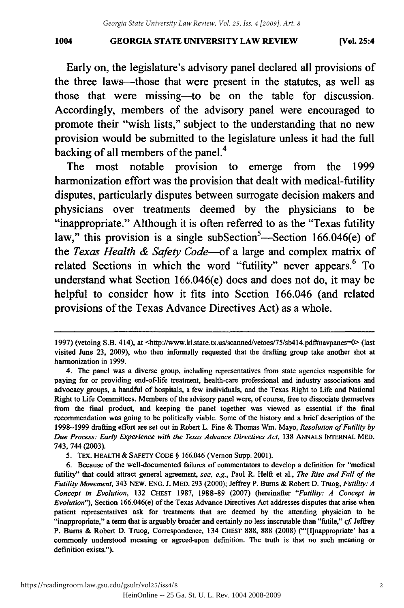#### **GEORGIA STATE UNIVERSITY LAW REVIEW 1004 [Vol. 25:4 1004** GEORGIA STATE UNIVERSITY LAW REVIEW [Vol. 25:4

Early on, the legislature's advisory panel declared all provisions of Early on, the legislature's advisory panel declared all provisions of the three laws--those that were present in the statutes, as well as those that were missing-to be on the table for discussion. those that were missing-to be on the table for discussion. Accordingly, members of the advisory panel were encouraged to Accordingly, members of the advisory panel were encouraged to promote their "wish lists," subject to the understanding that no new promote their "wish lists," subject to the understanding that no new provision would be submitted to the legislature unless it had the full provision would be submitted to the legislature unless it had the full backing of all members of the panel.<sup>4</sup>

The most notable provision to emerge from the 1999 harmonization effort was the provision that dealt with medical-futility harmonization effort was the provision that dealt with medical-futility disputes, particularly disputes between surrogate decision makers and disputes, particularly disputes between surrogate decision makers and physicians over treatments deemed **by** the physicians to be physicians over treatments deemed by the physicians to be "inappropriate." Although it is often referred to as the "Texas futility law," this provision is a single subSection<sup>5</sup>—Section 166.046(e) of the *Texas Health & Safety Code-of* a large and complex matrix of the *Texas Health* & *Safety Code-of* a large and complex matrix of related Sections in which the word "futility" never appears.<sup>6</sup> To understand what Section 166.046(e) does and does not do, it may be helpful to consider how it fits into Section **166.046** (and related helpful to consider how it fits into Section 166.046 (and related provisions of the Texas Advance Directives Act) as a whole. provisions of the Texas Advance Directives a whole.

<sup>1997) (</sup>vetoing S.B. 414), at <http://www.lrl.state.tx.us/scanned/vetoes/75/sb414.pdf#navpanes=0> (last visited June 23, 2009), who then informally requested that the drafting group take another shot at visited June 23, 2009), who then informally requested that the drafting group take another shot at harmonization in 1999. harmonization in 1999.

<sup>4.</sup> The panel was a diverse group, including representatives from state agencies responsible for 4. The panel was a diverse group, including representatives from state agencies responsible for paying for or providing end-of-life treatment, health-care professional and industry associations and paying for or providing end-of-life treatment, health-care professional and industry associations and advocacy groups, a handful of hospitals, a few individuals, and the Texas Right to Life and National advocacy groups, a handful of hospitals, a few individuals, and the Texas Right to Life and National Right to Life Committees. Members of the advisory panel were, of course, free to dissociate themselves Right to Life Committees. Members of the advisory panel were, of course, free to dissociate themselves from the final product, and keeping the panel together was viewed as essential if the final from the fmal product, and keeping the panel together was viewed as essential if the final recommendation was going to be politically viable. Some of the history and a brief description of the recommendation was going to be politically viable. Some of the history and a brief description of the 1998-1999 drafting effort are set out in Robert L. Fine & Thomas Win. Mayo, *Resolution of Futility by* 1998-1999 drafting effort are set out in Robert L. Fine & Thomas Wm. Mayo, *Resolution of Futility by Due Process: Early Experience with the Texas Advance Directives Act,* 138 **ANNALS INTERNAL** MED. *Due Process: Early Experience with the Texas Advance Directives Act,* 138 ANNALS INTERNAL MED. 743, 744 (2003). 743, 744 (2003).

<sup>5.</sup> TEX. HEALTH & SAFETY CODE § 166.046 (Vernon Supp. 2001).

<sup>6.</sup> Because of the well-documented failures of commentators to develop a definition for "medical 6. Because of the well-documented failures of commentators to develop a defmition "medical futility" that could attract general agreement, see, e.g., Paul R. Helft et al., The Rise and Fall of the Futility Movement, 343 NEW. ENG. J. MED. 293 (2000); Jeffrey P. Burns & Robert D. Truog, Futility: A *Concept in Evolution,* 132 CHEST 1987, 1988-89 (2007) (hereinafter *"Futility: A Concept in Concept in Evolution,* 132 CHEST 1987, 1988-89 (2007) (hereinafter *"Futility: A Concept in Evolution"),* Section 166.046(e) of the Texas Advance Directives Act addresses disputes that arise when *Evolution"),* Section 166.046(e) of the Texas Advance Directives Act addresses disputes that arise when patient representatives ask for treatments that are deemed by the attending physician to be patient representatives ask for treatments that are deemed by the attending physician to be "inappropriate," a term that is arguably broader and certainly no less inscrutable than "futile," cf. Jeffrey P. Burns & Robert D. Truog, Correspondence, 134 CHEST 888, 888 (2008) ("'[I]nappropriate' has a commonly understood meaning or agreed-upon definition. The truth is that no such meaning or definition exists."). definition exists.").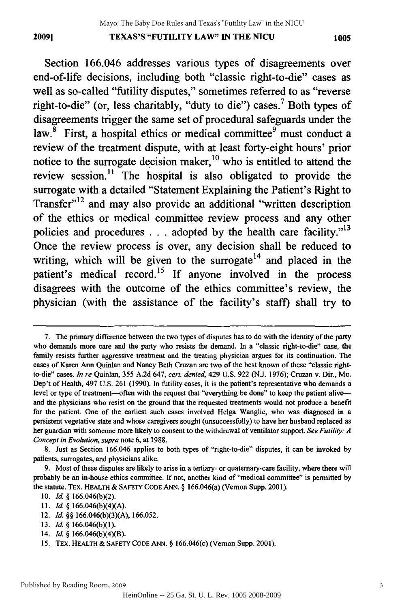**TEXAS'S** "FUTILITY LAW" **IN** THE **NICU 20091** *1005* 2009) TEXAS'S "FUTILITY LAW" IN THE NICU 1005

Section **166.046** addresses various types of disagreements over Section 166.046 addresses various types of disagreements over end-of-life decisions, including both "classic right-to-die" cases as end-of-life decisions, including both "classic right-to-die" cases as well as so-called "futility disputes," sometimes referred to as "reverse well as so-called "futility disputes," sometimes referred to as "reverse right-to-die" (or, less charitably, "duty to die") cases.<sup>7</sup> Both types of disagreements trigger the same set of procedural safeguards under the disagreements trigger the same set of procedural safeguards under the law.<sup>8</sup> First, a hospital ethics or medical committee<sup>9</sup> must conduct a review of the treatment dispute, with at least forty-eight hours' prior review of the treatment dispute, with at least forty-eight hours' prior notice to the surrogate decision maker,<sup>10</sup> who is entitled to attend the review session.<sup>11</sup> The hospital is also obligated to provide the surrogate with a detailed "Statement Explaining the Patient's Right to surrogate with a detailed "Statement Explaining the Patient's Right to Transfer"<sup>12</sup> and may also provide an additional "written description of the ethics or medical committee review process and any other policies and procedures . . . adopted by the health care facility."<sup>13</sup> Once the review process is over, any decision shall be reduced to Once the review process is over, any decision shall be reduced to writing, which will be given to the surrogate $14$  and placed in the patient's medical record. <sup>15</sup>**If** anyone involved in the process patient's medical record. 15 If anyone involved in the process disagrees with the outcome of the ethics committee's review, the disagrees with the outcome of the ethics committee's review, the physician (with the assistance of the facility's staff) shall try to physician (with the assistance of the facility's staff) shall try to

**11.** *Id.* § 166.046(b)(4)(A). II. *Id.* § I 66.046(b)(4)(A).

14. *Id.* § 166.046(b)(4)(B). 14. *Id* § 166.046(b)(4)(B).

<sup>7.</sup> The primary difference between the two types of disputes has to do with the identity of the party who demands more care and the party who resists the demand. In a "classic right-to-die" case, the who demands more care and the party who resists the demand. In a "classic right-to-die" case, the family resists further aggressive treatment and the treating physician argues for its continuation. The family resists further aggressive treatment and the treating physician argues for its continuation. The cases of Karen Ann Quinlan and Nancy Beth Cruzan are two of the best known of these "classic rightcases of Karen Ann Quinlan and Nancy Beth Cruzan are two of the best known of these "classic right-<br>to-die" cases. *In re* Quinlan, 355 A.2d 647, *cert. denied*, 429 U.S. 922 (N.J. 1976); Cruzan v. Dir., Mo. Dep't of Health, 497 U.S. 261 (1990). In futility cases, it is the patient's representative who demands a Dep't of Health, 497 U.S. 261 (1990). In futility cases, it is the patient's representative who demands a level or type of treatment-often with the request that "everything be done" to keep the patient aliveand the physicians who resist on the ground that the requested treatments would not produce a benefit for the patient. One of the earliest such cases involved Helga Wanglie, who was diagnosed in a for the patient. One of the earliest such cases involved Helga Wanglie, who was diagnosed in a persistent vegetative state and whose caregivers sought (unsuccessfully) to have her husband replaced as persistent vegetative state and whose caregivers sought (unsuccessfully) to have her husband replaced as her guardian with someone more likely to consent to the withdrawal of ventilator support. See Futility: A *Concept in Evolution, supra* note 6, at 1988. *Concept* in *Evolution, supra* note 6, at 1988.

<sup>8.</sup> Just as Section 166.046 applies to both types of "right-to-die" disputes, it can be invoked by patients, surrogates, and physicians alike. patients, surrogates, and physicians alike.

<sup>9.</sup> Most of these disputes are likely to arise in a tertiary- or quaternary-care facility, where there will 9. Most of these disputes are likely to arise in a tertiary- or quaternary-care facility, where there will probably be an in-house ethics committee. If not, another kind of "medical committee" is permitted by probably be an in-house ethics committee. If not, another kind of "medical committee" is permitted by the statute. TEX. HEALTH & **SAFETY CODE ANN.** § 166.046(a) (Vernon Supp. 2001). the statute. TEx. HEALTH & SAFETY CODE ANN. § 166.046(a)(Vernon Supp. 2001).

**<sup>10.</sup>** *Id.* § 166.046(b)(2). 10. *Id.* § 166.046(b)(2).

<sup>12.</sup> *Id.* §§ 166.046(b)(3)(A), 166.052. 12. *Id* §§ 166.046(b)(3)(A), 166.052.

**<sup>13.</sup>** *Id.* § 166.046(b)(1). 13. *Id* § 166.046(b)(1).

<sup>15.</sup> TEx. HEALTH & SAFETY CODE **ANN.** § 166.046(c) (Vernon Supp. 2001). 15. TEx. HEALTH & SAFETY CODE ANN. § I 66.046(c) (Vernon Supp. 2001).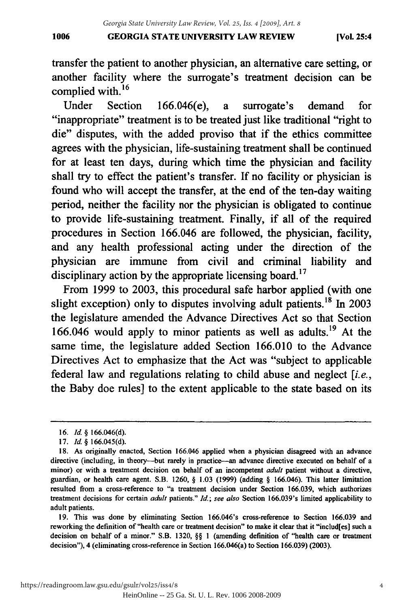#### **GEORGIA STATE UNIVERSITY LAW REVIEW 1006 [Vol. 25:4** 1006 GEORGIA STATE UNIVERSITY LAW REVIEW (Vol. 25:4

transfer the patient to another physician, an alternative care setting, or transfer the patient to another physician, an alternative care setting, or another facility where the surrogate's treatment decision can be complied with. **<sup>16</sup>**

complied with.<sup>16</sup><br>Under Section 166.046(e), a surrogate's demand for "inappropriate" treatment is to be treated just like traditional "right to die" disputes, with the added proviso that if the ethics committee die" disputes, with the added proviso that if the ethics committee agrees with the physician, life-sustaining treatment shall be continued for at least ten days, during which time the physician and facility for at least ten days, during which time the physician and facility shall try to effect the patient's transfer. If no facility or physician is shall try to effect the patient's transfer. If no facility or physician is found who will accept the transfer, at the end of the ten-day waiting found who will accept the transfer, at the end of the ten-day waiting period, neither the facility nor the physician is obligated to continue period, neither the facility nor the physician is obligated to continue to provide life-sustaining treatment. Finally, if all of the required to provide life-sustaining treatment. Finally, if all of the required procedures in Section **166.046** are followed, the physician, facility, procedures in Section 166.046 are followed, the physician, facility, and any health professional acting under the direction of the physician are immune from civil and criminal liability and physician are immune from civil and criminal liability and disciplinary action **by** the appropriate licensing board.17 disciplinary action by the appropriate licensing board. 17

From **1999** to **2003,** this procedural safe harbor applied (with one From 1999 to 2003, this procedural safe harbor applied (with one slight exception) only to disputes involving adult patients.<sup>18</sup> In 2003 the legislature amended the Advance Directives Act so that Section the legislature amended the Advance Directives Act so that Section **166.046** would apply to minor patients as well as adults. 19 At the 166.046 would apply to minor patients as well as adults. 19 At the same time, the legislature added Section 166.010 to the Advance Directives Act to emphasize that the Act was "subject to applicable Directives Act to emphasize that the Act was "subject to applicable federal law and regulations relating to child abuse and neglect *[i.e.,* federal law and regulations relating to child abuse and neglect [i.e., the Baby doe rules] to the extent applicable to the state based on its the Baby doe rules] to the extent applicable to the state based on its

19. This was done by eliminating Section 166.046's cross-reference to Section 166.039 and 19. This was done by eliminating Section 166.046's cross-reference to Section 166.039 and reworking the definition of "health care or treatment decision" to make it clear that it "includ[es] such a decision on behalf of a minor." S.B. **1320, §§ 1** (amending definition of "health care or treatment decision on behalf of a minor." S.B. 1320, §§ I (amending definition of "health care or treatment decision"), 4 (eliminating cross-reference in Section 166.046(a) to Section **166.039) (2003).** decision"), 4 (eliminating cross-reference in Section 166.046(a) to Section 166.039) (2003).

**<sup>16.</sup> Id. § 166.046(d).** *16. Id.* § 166.046(d).

<sup>17.</sup> Id. **§** 166.045(d). *17. Id.* § 166.045( d).

**<sup>18.</sup>** As originally enacted, Section 166.046 applied when a physician disagreed with an advance 18. As originally enacted, Section 166.046 applied when a physician disagreed with an advance directive (including, in theory-but rarely in practice-an advance directive executed on behalf of a minor) or with a treatment decision on behalf of an incompetent *adult* patient without a directive, minor) or with a treatment decision on behalf of an incompetent *adult* patient without a directive, guardian, or health care agent. S.B. 1260, **§** 1.03 (1999) (adding **§** 166.046). This latter limitation guardian, or health care agent. S.B. 1260, § 1.03 (1999) (adding § 166.046). This latter limitation resulted from a cross-reference to "a treatment decision under Section 166.039, which authorizes resulted from a cross-reference to "a treatment decision under Section 166.039, which authorizes treatment decisions for certain *adult* patients." Id.; see also Section 166.039's limited applicability to adult patients. adult patients.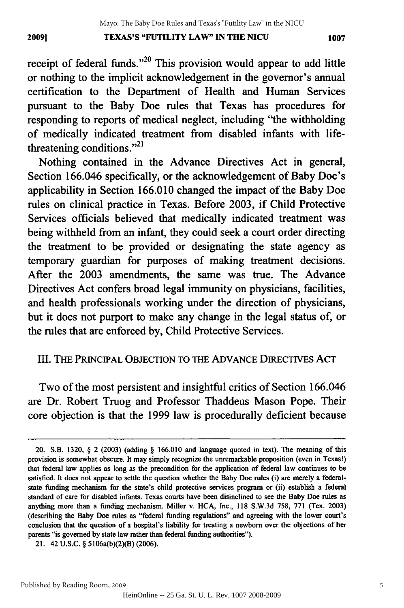### **TEXAS'S "FUTILITY LAW" IN THE NICU 20091 1007** 2009] TEXAS'S "FUTILITY LAW" IN THE NICU 1007

receipt of federal funds.<sup> $20$ </sup> This provision would appear to add little or nothing to the implicit acknowledgement in the governor's annual or nothing to the implicit acknowledgement in the governor's annual certification to the Department of Health and Human Services certification to the Department of Health and Human Services pursuant to the Baby Doe rules that Texas has procedures for pursuant to the Baby Doe rules that Texas has procedures for responding to reports of medical neglect, including "the withholding of medically indicated treatment from disabled infants with lifethreatening conditions."<sup> $21$ </sup>

Nothing contained in the Advance Directives Act in general, Section 166.046 specifically, or the acknowledgement of Baby Doe's Section 166.046 specifically, or the acknowledgement of Baby Doe's applicability in Section 166.010 changed the impact of the Baby Doe rules on clinical practice in Texas. Before 2003, if Child Protective rules on clinical practice in Texas. Before 2003, if Child Protective Services officials believed that medically indicated treatment was Services officials believed that medically indicated treatment was being withheld from an infant, they could seek a court order directing the treatment to be provided or designating the state agency as temporary guardian for purposes of making treatment decisions. temporary guardian for purposes of making treatment decisions. After the 2003 amendments, the same was true. The Advance After the 2003 amendments, the same was true. The Advance Directives Act confers broad legal immunity on physicians, facilities, Directives Act confers broad legal immunity on physicians, facilities, and health professionals working under the direction of physicians, and health professionals working under the direction of physicians, but it does not purport to make any change in the legal status of, or the rules that are enforced by, Child Protective Services. the rules that are enforced by, Child Protective Services.

#### III. THE PRINCIPAL OBJECTION TO THE ADVANCE DIRECTIVES ACT

Two of the most persistent and insightful critics of Section 166.046 Two of the most persistent and insightful critics of Section 166.046 are Dr. Robert Truog and Professor Thaddeus Mason Pope. Their are Dr. Robert Truog and Professor Thaddeus Mason Pope. Their core objection is that the 1999 law is procedurally deficient because

<sup>20.</sup> S.B. 1320, **§** 2 **(2003)** (adding **§ 166.010** and language quoted in text). The meaning of this S.B. 1320, § 2 (2003) (adding § 166.010 and language quoted in text). The meaning of this provision is somewhat obscure. It may simply recognize the unremarkable proposition (even in Texas!) that federal law applies as long as the precondition for the application of federal law continues to be satisfied. It does not appear to settle the question whether the Baby Doe rules (i) are merely a federalstate funding mechanism for the state's child protective services program or (ii) establish a federal standard of care for disabled infants. Texas courts have been disinclined to see the Baby Doe rules as anything more than a funding mechanism. Miller v. HCA, Inc., 118 S.W.3d 758, 771 (Tex. 2003) (describing the Baby Doe rules as "federal funding regulations" and agreeing with the lower court's conclusion that the question of a hospital's liability for treating a newborn over the objections of her parents "is governed by state law rather than federal funding authorities").

<sup>21. 42</sup> **U.S.C.** § 5106a(b)(2)(B) (2006). 21. 42 U.S.C. § 5106a(b)(2)(B)(2006).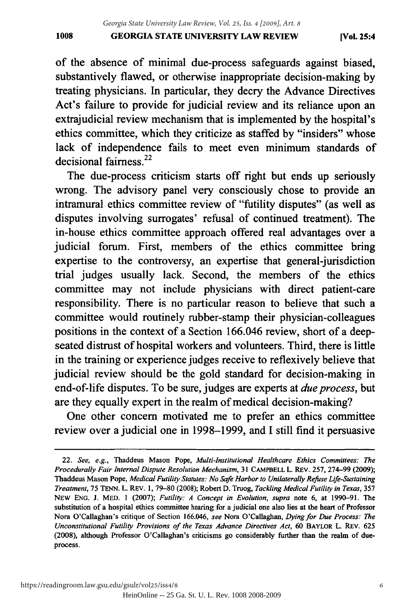of the absence of minimal due-process safeguards against biased, of the absence of minimal due-process safeguards against biased, substantively flawed, or otherwise inappropriate decision-making by substantively flawed, or otherwise inappropriate decision-making by treating physicians. In particular, they decry the Advance Directives Act's failure to provide for judicial review and its reliance upon an Act's failure to provide for judicial review and its reliance upon an extrajudicial review mechanism that is implemented by the hospital's extrajudicial review mechanism that is implemented by the hospital's ethics committee, which they criticize as staffed by "insiders" whose ethics committee, which they criticize as staffed by "insiders" whose lack of independence fails to meet even minimum standards of lack of independence fails to meet even minimum standards of decisional fairness. $22$ 

The due-process criticism starts off right but ends up seriously The due-process criticism starts off right but ends up seriously wrong. The advisory panel very consciously chose to provide an wrong. The advisory panel very consciously chose to provide an intramural ethics committee review of "futility disputes" (as well as intramural ethics committee review of "futility disputes" (as well as disputes involving surrogates' refusal of continued treatment). The disputes involving surrogates' refusal of continued treatment). The in-house ethics committee approach offered real advantages over a in-house ethics committee approach offered real advantages a judicial forum. First, members of the ethics committee bring judicial forum. First, members of the ethics committee bring expertise to the controversy, an expertise that general-jurisdiction expertise to the controversy, an expertise that general-jurisdiction trial judges usually lack. Second, the members of the ethics trial judges usually lack. Second, the members of the ethics committee may not include physicians with direct patient-care committee may not include physicians with direct patient-care responsibility. There is no particular reason to believe that such a responsibility. There is no particular reason to believe that such a committee would routinely rubber-stamp their physician-colleagues committee would routinely rubber-stamp their physician-colleagues positions in the context of a Section 166.046 review, short of a deep-positions in the context of a Section 166.046 review, short of a deepseated distrust of hospital workers and volunteers. Third, there is little seated distrust of hospital workers and volunteers. Third, there is little in the training or experience judges receive to reflexively believe that in the training or experience judges receive to reflexively believe that judicial review should be the gold standard for decision-making in judicial review should be the gold standard for decision-making in end-of-life disputes. To be sure, judges are experts at *due process*, but are they equally expert in the realm of medical decision-making? are they equally expert in the realm of medical decision-making?

One other concern motivated me to prefer an ethics committee review over a judicial one in 1998-1999, and I still find it persuasive review over a judicial one in 1998-1999, and I still find it persuasive

<sup>22.</sup> *See, e.g.,* Thaddeus Mason Pope, *Multi-Institutional Healthcare Ethics Committees: The 22. See, e.g.,* Thaddeus Mason Pope, *Multi-Institutional Healthcare Ethics Committees: The*  Procedurally Fair Internal Dispute Resolution Mechanism, 31 CAMPBELL L. REV. 257, 274-99 (2009); Thaddeus Mason Pope, *Medical Futility Statutes: No Safe Harbor to Unilaterally Refuse Life-Sustaining* Thaddeus Mason Pope, *Medical Futility Statutes: No Safe Harbor to Unilaterally Refuse Life-Sustaining*  Treatment, 75 TENN. L. REV. 1, 79-80 (2008); Robert D. Truog, Tackling Medical Futility in Texas, 357 NEW ENG. **J.** MED. **1** (2007); *Futility: A Concept in Evolution, supra* note 6, at 1990-91. **The** NEW ENG. J. MED. I (2007); *Futility: A Concept in Evolution, supra* note 6, at 1990-91. The substitution of a hospital ethics committee hearing for a judicial one also lies at the heart of Professor Nora O'Callaghan's critique of Section 166.046, see Nora O'Callaghan, Dying for Due Process: The *Unconstitutional Futility Provisions of the Texas Advance Directives Act,* 60 BAYLOR L. REv. **625** *Unconstitutional Futility Provisions of the Texas Advance Directives Act,* 60 BAYLOR L. REv. 625 (2008), although Professor O'Callaghan's criticisms go considerably further than the realm of dueprocess. process.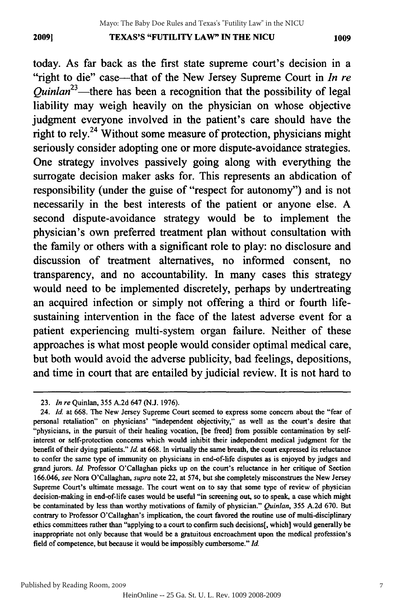#### **TEXAS'S "FUTILITY LAW" IN THE NICU 20091 1009** 2009] TEXAS'S "FUTILITY LAW" IN THE NICU 1009

today. As far back as the first state supreme court's decision in a the first state supreme court's decision in a "right to die" case---that of the New Jersey Supreme Court in *In re Quinlan23-there* has been a recognition that the possibility of legal *Quinlan23-there* has been a recognition that the possibility of legal liability may weigh heavily on the physician on whose objective liability may weigh heavily on the physician on whose objective judgment everyone involved in the patient's care should have the judgment everyone involved in the patient's care should have the right to rely.<sup>24</sup> Without some measure of protection, physicians might seriously consider adopting one or more dispute-avoidance strategies. seriously consider adopting one dispute-avoidance strategies. One strategy involves passively going along with everything the surrogate decision maker asks for. This represents an abdication of surrogate decision maker asks for. This represents an abdication of responsibility (under the guise of "respect for autonomy") and is not responsibility (under the guise of "respect for autonomy") and is not necessarily in the best interests of the patient or anyone else. A second dispute-avoidance strategy would be to implement the second dispute-avoidance strategy would be to implement the physician's own preferred treatment plan without consultation with the family or others with a significant role to play: no disclosure and discussion of treatment alternatives, no informed consent, no transparency, and no accountability. In many cases this strategy would need to be implemented discretely, perhaps by undertreating would need to be implemented discretely, perhaps by undertreating an acquired infection or simply not offering a third or fourth life-an acquired infection or simply not offering a third or fourth lifesustaining intervention in the face of the latest adverse event for a patient experiencing multi-system organ failure. Neither of these approaches is what most people would consider optimal medical care, approaches is what most people would consider optimal medical care, but both would avoid the adverse publicity, bad feelings, depositions, but both would avoid the adverse publicity, bad feelings, depositions, and time in court that are entailed by judicial review. It is not hard to

<sup>23.</sup> *In re* Quinlan, 355 A.2d 647 (N.J. 1976). *23. In re* Quinlan, 355 A.2d 647 (N.J. 1976).

<sup>24.</sup> *Id.* at 668. The New Jersey Supreme Court seemed to express some concern about the "fear of *24. Id.* at 668. The New Jersey Supreme Court seemed to express some concern about the "fear of personal retaliation" on physicians' "independent objectivity," as well as the court's desire that "physicians, in the pursuit of their healing vocation, [be freed] from possible contamination by self-"physicians, in the pursuit of their healing vocation, [be freed] from possible contamination by selfinterest or self-protection concerns which would inhibit their independent medical judgment for the interest or self-protection concerns which would inhibit their independent medical judgment for the benefit of their dying patients." Id. at 668. In virtually the same breath, the court expressed its reluctance to confer the same type of immunity on physicians in end-of-life disputes as is enjoyed by judges and to confer the same type of immunity on physicians in end-of-life disputes as is enjoyed by judges and grand jurors. *Id.* Professor O'Callaghan picks up on the court's reluctance in her critique of Section grand jurors. *Id.* Professor O'Callaghan picks up on the court's reluctance in her critique of Section 166.046, see Nora O'Callaghan, supra note 22, at 574, but she completely misconstrues the New Jersey Supreme Court's ultimate message. The court went on to say that some type of review of physician Supreme Court's ultimate message. The court went on to say that some type of review of physician decision-making in end-of-life cases would be useful "in screening out, so to speak, a case which might decision-making in end-of-life cases would be useful "in screening out, so to speak, a case which might be contaminated by less than worthy motivations of family of physician." *Quinlan*, 355 A.2d 670. But contrary to Professor O'Callaghan's implication, the court favored the routine use of multi-disciplinary contrary to Professor O'Callaghan's implication, the court favored the routine use of multi -disciplinary ethics committees rather than "applying to a court to confirm such decisions[, which] would generally be ethics committees rather than "applying to a court to confmn such decisions[, which] would generally be inappropriate not only because that would be a gratuitous encroachment upon the medical profession's inappropriate not only because that would be a gratuitous encroachment upon the medical profession'S field of competence, but because it would be impossibly cumbersome." *Id.* field of competence, but because it would be impossibly cumbersome." */d.*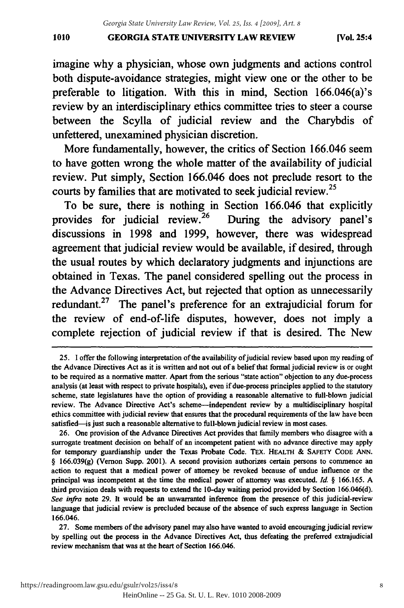#### **GEORGIA STATE UNIVERSITY LAW REVIEW 1010 [Vol. 25:4** 1010 GEORGIA STATE UNIVERSITY LAW REVIEW [Vol. 25:4

imagine why a physician, whose own judgments and actions control imagine why a physician, whose own judgments and actions control both dispute-avoidance strategies, might view one or the other to be both dispute-avoidance strategies, might view one or the other to be preferable to litigation. With this in mind, Section 166.046(a)'s preferable to litigation. With this in mind, Section 166.046(a)'s review by an interdisciplinary ethics committee tries to steer a course between the Scylla of judicial review and the Charybdis of unfettered, unexamined physician discretion. unexamined physician discretion.

More fundamentally, however, the critics of Section **166.046** seem More fundamentally, however, the critics of Section 166.046 seem to have gotten wrong the whole matter of the availability of judicial to have gotten wrong the whole matter of the availability of judicial review. Put simply, Section 166.046 does not preclude resort to the courts **by** families that are motivated to seek judicial review.25 courts by families that are motivated to seek judicial review. <sup>25</sup>

To be sure, there is nothing in Section **166.046** that explicitly To be sure, there is nothing in Section 166.046 that explicitly provides for judicial review.<sup>26</sup> During the advisory panel's discussions in **1998** and **1999,** however, there was widespread discussions in 1998 and 1999, however, there was widespread agreement that judicial review would be available, if desired, through agreement that judicial review would be available, if desired, through the usual routes **by** which declaratory judgments and injunctions are the usual routes by which declaratory judgments and injunctions are obtained in Texas. The panel considered spelling out the process in the Advance Directives Act, but rejected that option as unnecessarily the Advance Directives Act, but rejected that option as unnecessarily redundant.<sup>27</sup> The panel's preference for an extrajudicial forum for the review of end-of-life disputes, however, does not imply a complete rejection of judicial review if that is desired. The New

27. Some members of the advisory panel may also have wanted to avoid encouraging judicial review 27. Some members of the advisory panel may also have wanted to avoid encouraging judicial review by spelling out the process in the Advance Directives Act, thus defeating the preferred extrajudicial by spelling out the process in the Advance Directives Act, thus defeating the preferred extrajudicial review mechanism that was at the heart of Section 166.046.

<sup>25.</sup> I offer the following interpretation of the availability of judicial review based upon my reading of the Advance Directives Act as it is written and not out of a belief that formal judicial review is or ought the Advance Directives Act as it is written and not out ofa belief that formal judicial review is or ought to be required as a normative matter. Apart from the serious "state action" objection to any due-process to be required as a normative matter. Apart from the serious "state action" objection to any due-process analysis (at least with respect to private hospitals), even if due-process principles applied to the statutory analysis (at least with respect to private hospitals), even if due-process principles applied statutory scheme, state legislatures have the option of providing a reasonable alternative to full-blown judicial review. The Advance Directive Act's scheme-independent review by a multidisciplinary hospital ethics committee with judicial review that ensures that the procedural requirements of the law have been satisfied-is just such a reasonable alternative to full-blown judicial review in most cases.

<sup>26.</sup> One provision of the Advance Directives Act provides that family members who disagree with a 26. One provision of the Advance Directives Act provides that family members who disagree with a surrogate treatment decision on behalf of an incompetent patient with no advance directive may apply surrogate treatment decision on behalf of an incompetent patient with no advance directive may apply for temporary guardianship under the Texas Probate Code. TEX. HEALTH & SAFETY CODE ANN. § 166.039(g) (Vernon Supp. 2001). A second provision authorizes certain persons to commence an action to request that a medical power of attorney be revoked because of undue influence or the principal was incompetent at the time the medical power of attorney was executed. *Id. §* 166.165. A principal was incompetent at time the medical power of attorney was executed. *Id.* § 166.165. A third provision deals with requests to extend the 10-day waiting period provided by Section 166.046(d). third provision deals with requests to extend 10-day waiting period provided by Section 166.046(d). *See infra* note 29. It would be an unwarranted inference from the presence of this judicial-review *See infra* note 29. It would be an unwarranted inference from the presence of this judicial-review language that judicial review is precluded because of the absence of such express language in Section **166.046.** 166.046.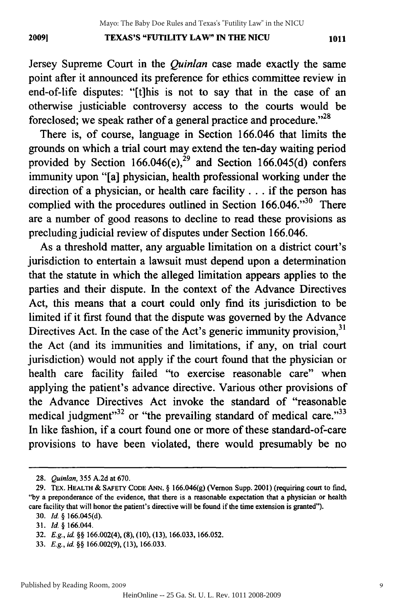Jersey Supreme Court in the *Quinlan* case made exactly the same Jersey Supreme Court in the *Quinlan* case made exactly the same point after it announced its preference for ethics committee review in end-of-life disputes: "[tihis is not to say that in the case of an end-of-life disputes: "[t]his is not to say that in the case of an otherwise justiciable controversy access to the courts would be foreclosed; we speak rather of a general practice and procedure."<sup>28</sup>

There is, of course, language in Section 166.046 that limits the There is, of course, language in Section 166.046 that limits the grounds on which a trial court may extend the ten-day waiting period grounds on which a trial court may extend the ten-day waiting period provided by Section 166.046 $(e)$ ,<sup>29</sup> and Section 166.045 $(d)$  confers immunity upon "[a] physician, health professional working under the immunity upon "[a] physician, health professional working under the direction of a physician, or health care facility **...** if the person has direction of a physician, or health care facility . . . if the person has complied with the procedures outlined in Section  $166.046$ .<sup>30</sup> There are a number of good reasons to decline to read these provisions as are a number of good reasons to decline to read these provisions as precluding judicial review of disputes under Section 166.046. precluding judicial review of disputes under Section 166.046.

As a threshold matter, any arguable limitation on a district court's As a threshold matter, any arguable limitation on a district court's jurisdiction to entertain a lawsuit must depend upon a determination jurisdiction to entertain a lawsuit must depend upon a determination that the statute in which the alleged limitation appears applies to the that the statute in which the alleged limitation appears applies to the parties and their dispute. In the context of the Advance Directives parties and their dispute. In the context of the Advance Directives Act, this means that a court could only find its jurisdiction to be Act, this means that a court could only find its jurisdiction to be limited if it first found that the dispute was governed by the Advance limited if it first found that the dispute was governed by the Advance Directives Act. In the case of the Act's generic immunity provision, $31$ the Act (and its immunities and limitations, if any, on trial court the Act (and its immunities and limitations, if any, on trial court jurisdiction) would not apply if the court found that the physician or jurisdiction) would not apply if the court found that the physician or health care facility failed "to exercise reasonable care" when health care facility failed "to exercise reasonable care" when applying the patient's advance directive. Various other provisions of applying the patient's advance directive. Various other provisions of the Advance Directives Act invoke the standard of "reasonable the Advance Directives Act invoke the standard of "reasonable medical judgment"<sup>32</sup> or "the prevailing standard of medical care."<sup>33</sup> In like fashion, if a court found one or more of these standard-of-care In like fashion, if a court found one or more of these standard-of-care provisions to have been violated, there would presumably be no provisions to have been violated, there would presumably be no

<sup>28.</sup> *Quinlan,* 355 A.2d at 670. *28. Quinlan,* 355 A.2d at 670.

<sup>29.</sup> TEX. HEALTH & SAFETY CODE ANN. § 166.046(g) (Vernon Supp. 2001) (requiring court to find, **"by** a preponderance of the evidence, that there is a reasonable expectation that a physician or health "by a preponderance of the evidence, that there is a reasonable expectation that a physician or health care facility that will honor the patient's directive will be found if the time extension is granted"). care facility that will honor the patient's directive will be found if the time extension is granted").

**<sup>30.</sup>** *Id.* § 166.045(d). *30. Id.* § 166.045(d).

<sup>31.</sup> *Id,* § 166.044. *31. Id.* § 166.044.

<sup>32.</sup> *E.g., id. §§* 166.002(4), **(8), (10), (13),** 166.033, 166.052. *32. E.g., id.* §§ 166.002(4), (8), (10), (13), 166.033, 166.052.

**<sup>33.</sup>** *E.g., id.* §§ 166.002(9), (13), 166.033. *33. E.g., id.* §§ 166.002(9), (13), 166.033.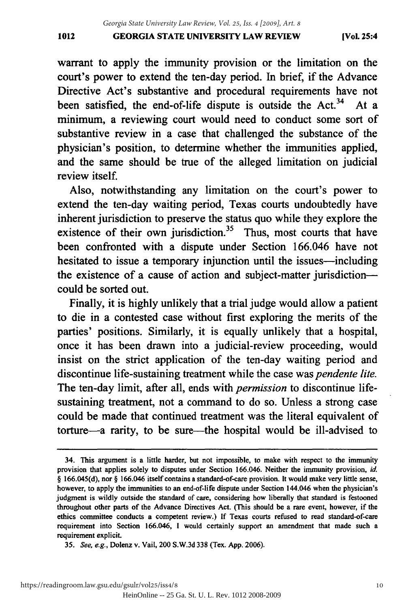#### **GEORGIA STATE UNIVERSITY LAW REVIEW 1012 [Vol.** 25:4 1012 GEORGIA STATE UNIVERSITY LAW REVIEW (Vol. 25:4

warrant to apply the immunity provision or the limitation on the court's power to extend the ten-day period. In brief, if the Advance Directive Act's substantive and procedural requirements have not Directive Act's substantive and procedural requirements have not been satisfied, the end-of-life dispute is outside the Act.<sup>34</sup> At a minimum, a reviewing court would need to conduct some sort of minimum, a reviewing court would need to conduct some sort of substantive review in a case that challenged the substance of the substantive review in a case that challenged the substance of the physician's position, to determine whether the immunities applied, physician's position, to determine whether the immunities applied, and the same should be true of the alleged limitation on judicial and the same should be true of the alleged limitation on judicial review itself. review itself.

Also, notwithstanding any limitation on the court's power to extend the ten-day waiting period, Texas courts undoubtedly have inherent jurisdiction to preserve the status quo while they explore the inherent jurisdiction to preserve the status quo while they explore the existence of their own jurisdiction.<sup>35</sup> Thus, most courts that have been confronted with a dispute under Section 166.046 have not been confronted with a dispute under Section 166.046 have not hesitated to issue a temporary injunction until the issues-including the existence of a cause of action and subject-matter jurisdiction-the existence of a cause of action and subject-matter jurisdictioncould be sorted out. could be sorted out.

Finally, it is highly unlikely that a trial judge would allow a patient Finally, it is highly unlikely that a trial judge would allow a patient to die in a contested case without first exploring the merits of the to die in a contested case without first exploring the merits of the parties' positions. Similarly, it is equally unlikely that a hospital, parties' positions. Similarly, it is equally unlikely that a hospital, once it has been drawn into a judicial-review proceeding, would insist on the strict application of the ten-day waiting period and insist on the strict application of the ten-day waiting period and discontinue life-sustaining treatment while the case was *pendente lite.* discontinue life-sustaining treatment while the case was *pendente lite.*  The ten-day limit, after all, ends with *permission* to discontinue life-The ten-day limit, after all, ends with *permission* to discontinue lifesustaining treatment, not a command to do so. Unless a strong case sustaining treatment, not a command to do so. Unless a strong case could be made that continued treatment was the literal equivalent of torture-a rarity, to be sure-the hospital would be ill-advised to

<sup>34.</sup> This argument is a little harder, but not impossible, to make with respect to the immunity 34. This argument is a little harder, but not impossible, to make with respect to the immunity provision that applies solely to disputes under Section 166.046. Neither the immunity provision, id. § 166.045(d), nor § 166.046 itself contains a standard-of-care provision. It would make very little sense, however, to apply the immunities to an end-of-life dispute under Section 144.046 when the physician's however, to apply the immunities to an end-of-life dispute under Section 144.046 when the physician's judgment is wildly outside the standard of care, considering how liberally that standard is festooned judgment is wildly outside the standard of care, considering how liberally that standard is festooned throughout other parts of the Advance Directives Act. (This should be a rare event, however, if the ethics committee conducts a competent review.) If Texas courts refused to read standard-of-care requirement into Section 166.046, I would certainly support an amendment that made such a requirement explicit. requirement explicit.

*<sup>35.</sup> See, e.g.,* Dolenz v. Vail, 200 S.W.3d 338 (Tex. App. 2006). *35. See. e.g.,* Dolenz v. Vail, 200 S.W.3d 338 (Tex. App. 2006).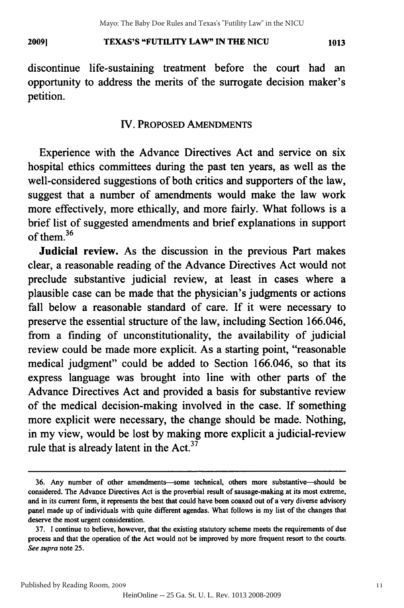#### **TEXAS'S "FUTILITY LAW" IN THE NICU 2009] 1013** 2009) TEXAS'S "FUTILITY LAW" IN THE NICU 1013

discontinue life-sustaining treatment before the court had an discontinue life-sustaining treatment before the court had an opportunity to address the merits of the surrogate decision maker's opportunity to address merits of the surrogate decision maker's petition. petition.

#### IV. PROPOSED AMENDMENTS

Experience with the Advance Directives Act and service on six hospital ethics committees during the past ten years, as well as the hospital ethics committees during the past ten years, as well as the well-considered suggestions of both critics and supporters of the law, suggest that a number of amendments would make the law work suggest that a number of amendments would make law work more effectively, more ethically, and more fairly. What follows is a brief list of suggested amendments and brief explanations in support of them. $36$ 

Judicial review. As the discussion in the previous Part makes clear, a reasonable reading of the Advance Directives Act would not preclude substantive judicial review, at least in cases where a preclude substantive judicial review, at least in cases where a plausible case can be made that the physician's judgments or actions plausible case can be made that the physician's judgments or actions fall below a reasonable standard of care. If it were necessary to fall below a reasonable standard of care. If it were necessary to preserve the essential structure of the law, including Section 166.046, preserve the essential structure of the law, including Section 166.046, from a finding of unconstitutionality, the availability of judicial review could be made more explicit. As a starting point, "reasonable review could be made more explicit. As a starting point, "reasonable medical judgment" could be added to Section 166.046, so that its medical judgment" could be added to Section 166.046, so that its express language was brought into line with other parts of the express language was brought into line with other parts of the Advance Directives Act and provided a basis for substantive review Advance Directives Act and provided a basis for substantive review of the medical decision-making involved in the case. If something more explicit were necessary, the change should be made. Nothing, more explicit were necessary, the change should be made. Nothing, in my view, would be lost by making more explicit a judicial-review in my view, would be lost by making more explicit a judicial-review rule that is already latent in the Act. $37$ 

**<sup>36.</sup>** Any number of other amendments-some technical, others more substantive-should be 36. Any number of other amendments-some technical, others more substantive--should be considered. The Advance Directives Act is the proverbial result of sausage-making at its most extreme, considered. The Advance Directives Act is the proverbial result of sausage-making at its most extreme, and in its current form, it represents the best that could have been coaxed out of a very diverse advisory panel made up of individuals with quite different agendas. What follows is my list of the changes that panel made up of individuals with quite different agendas. What follows is my list of the changes that deserve the most urgent consideration. deserve the most urgent consideration.

<sup>37.</sup> I continue to believe, however, that the existing statutory scheme meets the requirements of due 37. I continue to believe, however, that the existing statutory scheme meets the requirements of due process and that the operation of the Act would not be improved by more frequent resort to the courts. process and that the operation of the Act would not be improved by more frequent resort to the courts. *See supra* note 25. *See supra* note 25.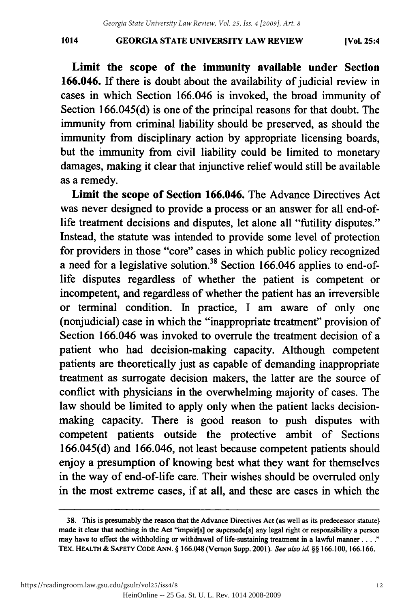#### **GEORGIA STATE UNIVERSITY LAW REVIEW 1014 [Vol. 25:4** 1014 GEORGIA STATE UNIVERSITY LAW REVIEW [Vol. 25:4

Limit the scope of the immunity available under Section Limit the scope of the immunity available under Section 166.046. If there is doubt about the availability of judicial review in cases in which Section 166.046 is invoked, the broad immunity of Section 166.045(d) is one of the principal reasons for that doubt. The immunity from criminal liability should be preserved, as should the immunity from criminal liability should be preserved, as should the immunity from disciplinary action **by** appropriate licensing boards, immunity from disciplinary action by appropriate licensing boards, but the immunity from civil liability could be limited to monetary but the immunity from civil liability could be limited to monetary damages, making it clear that injunctive relief would still be available damages, making it clear that injunctive relief would still be available as a remedy. as a remedy.

Limit the scope of Section **166.046.** The Advance Directives Act Limit the scope of Section 166.046. The Advance Directives Act was never designed to provide a process or an answer for all end-of-was never designed to provide a process or an answer for all end-oflife treatment decisions and disputes, let alone all "futility disputes." life treatment decisions and disputes, let alone all "futility disputes." Instead, the statute was intended to provide some level of protection Instead, the statute was intended to provide some level of protection for providers in those "core" cases in which public policy recognized for providers in those "core" cases in which public policy recognized a need for a legislative solution. 38 Section **166.046** applies to end-of-a need for a legislative solution?8 Section 166.046 applies to end-oflife disputes regardless of whether the patient is competent or incompetent, and regardless of whether the patient has an irreversible incompetent, and regardless of whether the patient has an irreversible or terminal condition. In practice, I am aware of only one (nonjudicial) case in which the "inappropriate treatment" provision of (nonjudicial) case in which the "inappropriate treatment" provision of Section **166.046** was invoked to overrule the treatment decision of a Section 166.046 was invoked to overrule the treatment decision of a patient who had decision-making capacity. Although competent patient who had decision-making capacity. Although competent patients are theoretically just as capable of demanding inappropriate patients are theoretically just as capable of demanding inappropriate treatment as surrogate decision makers, the latter are the source of treatment as surrogate decision makers, the latter are the source of conflict with physicians in the overwhelming majority of cases. The law should be limited to apply only when the patient lacks decision-law should be limited to apply only when the patient lacks decisionmaking capacity. There is good reason to push disputes with making capacity. There is good reason to push disputes with competent patients outside the protective ambit of Sections competent patients outside the protective ambit of Sections **166.045(d)** and **166.046,** not least because competent patients should 166.045(d) and 166.046, not least because competent patients should enjoy a presumption of knowing best what they want for themselves enjoy a presumption of knowing best what they want for themselves in the way of end-of-life care. Their wishes should be overruled only in the way of end-of-life care. Their wishes should be overruled only in the most extreme cases, if at all, and these are cases in which the

**<sup>38.</sup>** This is presumably the reason that the Advance Directives Act (as well as its predecessor statute) 38. This is presumably the reason that the Advance Directives Act (as well as its predecessor statute) made it clear that nothing in the Act "impair[s] or supersede[s] any legal right or responsibility a person may have to effect the withholding or withdrawal of life-sustaining treatment in a lawful manner ...." **TEx.** HEALTH **&** SAFETY **CODE ANN. § 166.048 (Vernon** Supp. 2001). See also id **§§ 166.100, 166.166.** TEx. HEALTH & SAFETY CODE ANN. § 166.048 (Vernon Supp. 2001). *See a/so id* §§ 166.100, 166.166.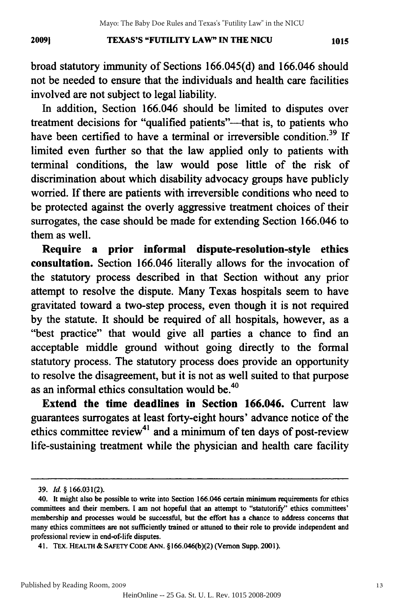#### **TEXAS'S "FUTILITY LAW" IN THE NICU 20091** *1015* 2009] TEXAS'S "FUTILITY LAW" IN THE NICU 1015

broad statutory immunity of Sections 166.045(d) and 166.046 should not be needed to ensure that the individuals and health care facilities involved are not subject to legal liability. involved are not subject to legal liability.

In addition, Section 166.046 should be limited to disputes over In addition, Section 166.046 should be limited to disputes over treatment decisions for "qualified patients"—that is, to patients who have been certified to have a terminal or irreversible condition.<sup>39</sup> If limited even further so that the law applied only to patients with limited even further so that the law applied only to patients with terminal conditions, the law would pose little of the risk of discrimination about which disability advocacy groups have publicly discrimination about which disability advocacy publicly worried. If there are patients with irreversible conditions who need to worried. If there are patients with irreversible conditions who need to be protected against the overly aggressive treatment choices of their be protected against the overly aggressive treatment choices of their surrogates, the case should be made for extending Section 166.046 to surrogates, the case should be made for extending Section 166.046 to them as well. as well.

**Require a prior informal dispute-resolution-style ethics** Require a prior informal dispute-resolution-style ethics **consultation.** Section 166.046 literally allows for the invocation of consultation. Section 166.046 literally allows for the invocation of the statutory process described in that Section without any prior the statutory process described in that Section without any prior attempt to resolve the dispute. Many Texas hospitals seem to have attempt to resolve the dispute. Many Texas hospitals seem to have gravitated toward a two-step process, even though it is not required gravitated toward a two-step process, even though it is not required by the statute. It should be required of all hospitals, however, as a "best practice" that would give all parties a chance to find an "best practice" that would give all parties a chance to find an acceptable middle ground without going directly to the formal acceptable middle ground without going directly to the formal statutory process. The statutory process does provide an opportunity statutory process. The statutory process does provide an opportunity to resolve the disagreement, but it is not as well suited to that purpose to resolve the disagreement, but it is not as well suited to that purpose as an informal ethics consultation would be.<sup>40</sup>

**Extend the time deadlines in Section 166.046.** Current law Extend the time deadlines in Section 166.046. Current law guarantees surrogates at least forty-eight hours' advance notice of the guarantees surrogates at least forty-eight hours' advance notice of the ethics committee review<sup>41</sup> and a minimum of ten days of post-review life-sustaining treatment while the physician and health care facility life-sustaining treatment while the physician and health care facility

Published by Reading Room, 2009

<sup>39.</sup> *Id.* **§ 166.031(2).** *39. Id.* § 166.031(2).

<sup>40.</sup> It might also be possible to write into Section 166.046 certain minimum requirements for ethics 40. It might also be possible to write into Section 166.046 certain minimum requirements for ethics committees and their members. I am not hopeful that an attempt to "statutorify" ethics committees' membership and processes would be successful, but the effort has a chance to address concerns that membership and processes would be successful, but the effort has a chance to address concerns that many ethics committees are not sufficiently trained or attuned to their role to provide independent and many ethics committees are not sufficiently trained or attuned to their role to provide independent and professional review in end-of-life disputes. professional review in end-of-life disputes.

<sup>41.</sup> TEX. **HEALTH &** SAFETY **CODE ANN.** §166.046(b)(2) (Vernon Supp. 2001). 41. TEx. HEALTH & SAFETY CODE ANN. §166.046(b)(2) (Vernon Supp.2001).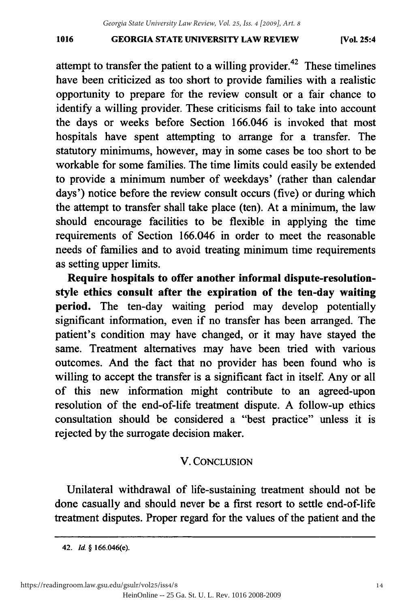#### **GEORGIA STATE UNIVERSITY LAW REVIEW 1016 [Vol. 25:4** 1016 GEORGIA STATE UNIVERSITY LAW REVIEW (Vol. 25:4

attempt to transfer the patient to a willing provider.<sup>42</sup> These timelines have been criticized as too short to provide families with a realistic have been criticized as too short to provide families with a realistic opportunity to prepare for the review consult or a fair chance to identify a willing provider. These criticisms fail to take into account the days or weeks before Section 166.046 is invoked that most hospitals have spent attempting to arrange for a transfer. The hospitals have spent attempting to arrange for a transfer. The statutory minimums, however, may in some cases be too short to be workable for some families. The time limits could easily be extended to provide a minimum number of weekdays' (rather than calendar days') notice before the review consult occurs (five) or during which the attempt to transfer shall take place (ten). At a minimum, the law the attempt to transfer shall take place (ten). At a minimum, the law should encourage facilities to be flexible in applying the time should encourage facilities to be flexible in applying the time requirements of Section 166.046 in order to meet the reasonable needs of families and to avoid treating minimum time requirements needs of families and to avoid treating minimum time requirements as setting upper limits. as setting upper limits.

Require hospitals to offer another informal dispute-resolutionstyle ethics consult after the expiration of the ten-day waiting style ethics consult after the expiration of the ten-day waiting period. The ten-day waiting period may develop potentially significant information, even if no transfer has been arranged. The patient's condition may have changed, or it may have stayed the same. Treatment alternatives may have been tried with various same. Treatment alternatives may been tried with various outcomes. And the fact that no provider has been found who is willing to accept the transfer is a significant fact in itself. Any or all of this new information might contribute to an agreed-upon resolution of the end-of-life treatment dispute. **A** follow-up ethics resolution of the end-of-life treatment dispute. A follow-up ethics consultation should be considered a "best practice" unless it is consultation should be considered a "best practice" unless it is rejected **by** the surrogate decision maker. rejected by the surrogate decision maker.

# V. **CONCLUSION** v. CONCLUSION

Unilateral withdrawal of life-sustaining treatment should not be Unilateral withdrawal of life-sustaining treatment should not be done casually and should never be a first resort to settle end-of-life done casually and should never be a first resort to settle end-of-life treatment disputes. Proper regard for the values of the patient and the treatment disputes. Proper regard for the values of the patient and the

**<sup>42.</sup>** *Id.* **§** 166.046(e). 42. *[d.* § 166.046(e).